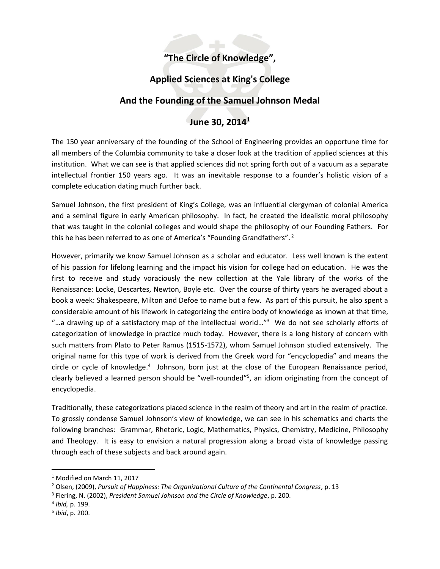# **"The Circle of Knowledge",**

# **Applied Sciences at King's College**

### **And the Founding of the Samuel Johnson Medal**

# **June 30, 2014<sup>1</sup>**

The 150 year anniversary of the founding of the School of Engineering provides an opportune time for all members of the Columbia community to take a closer look at the tradition of applied sciences at this institution. What we can see is that applied sciences did not spring forth out of a vacuum as a separate intellectual frontier 150 years ago. It was an inevitable response to a founder's holistic vision of a complete education dating much further back.

Samuel Johnson, the first president of King's College, was an influential clergyman of colonial America and a seminal figure in early American philosophy. In fact, he created the idealistic moral philosophy that was taught in the colonial colleges and would shape the philosophy of our Founding Fathers. For this he has been referred to as one of America's "Founding Grandfathers". <sup>2</sup>

However, primarily we know Samuel Johnson as a scholar and educator. Less well known is the extent of his passion for lifelong learning and the impact his vision for college had on education. He was the first to receive and study voraciously the new collection at the Yale library of the works of the Renaissance: Locke, Descartes, Newton, Boyle etc. Over the course of thirty years he averaged about a book a week: Shakespeare, Milton and Defoe to name but a few. As part of this pursuit, he also spent a considerable amount of his lifework in categorizing the entire body of knowledge as known at that time, "…a drawing up of a satisfactory map of the intellectual world…" 3 We do not see scholarly efforts of categorization of knowledge in practice much today. However, there is a long history of concern with such matters from Plato to Peter Ramus (1515-1572), whom Samuel Johnson studied extensively. The original name for this type of work is derived from the Greek word for "encyclopedia" and means the circle or cycle of knowledge.<sup>4</sup> Johnson, born just at the close of the European Renaissance period, clearly believed a learned person should be "well-rounded"<sup>5</sup>, an idiom originating from the concept of encyclopedia.

Traditionally, these categorizations placed science in the realm of theory and art in the realm of practice. To grossly condense Samuel Johnson's view of knowledge, we can see in his schematics and charts the following branches: Grammar, Rhetoric, Logic, Mathematics, Physics, Chemistry, Medicine, Philosophy and Theology. It is easy to envision a natural progression along a broad vista of knowledge passing through each of these subjects and back around again.

<sup>1</sup> Modified on March 11, 2017

<sup>2</sup> Olsen, (2009), *Pursuit of Happiness: The Organizational Culture of the Continental Congress*, p. 13

<sup>3</sup> Fiering, N. (2002), *President Samuel Johnson and the Circle of Knowledge*, p. 200.

<sup>4</sup> *Ibid,* p. 199.

<sup>5</sup> *Ibid*, p. 200.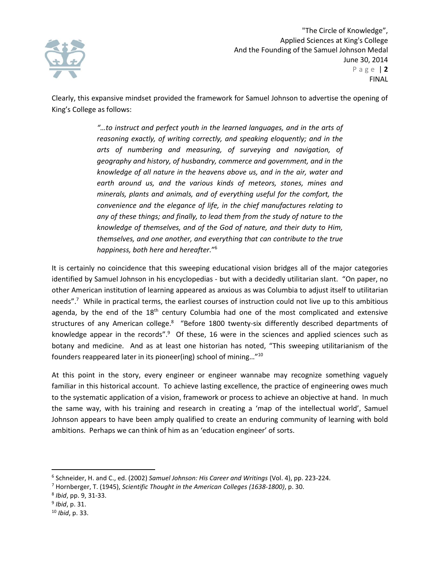

Clearly, this expansive mindset provided the framework for Samuel Johnson to advertise the opening of King's College as follows:

> *"…to instruct and perfect youth in the learned languages, and in the arts of reasoning exactly, of writing correctly, and speaking eloquently; and in the arts of numbering and measuring, of surveying and navigation, of geography and history, of husbandry, commerce and government, and in the knowledge of all nature in the heavens above us, and in the air, water and earth around us, and the various kinds of meteors, stones, mines and minerals, plants and animals, and of everything useful for the comfort, the convenience and the elegance of life, in the chief manufactures relating to any of these things; and finally, to lead them from the study of nature to the knowledge of themselves, and of the God of nature, and their duty to Him, themselves, and one another, and everything that can contribute to the true happiness, both here and hereafter.*" 6

It is certainly no coincidence that this sweeping educational vision bridges all of the major categories identified by Samuel Johnson in his encyclopedias - but with a decidedly utilitarian slant. "On paper, no other American institution of learning appeared as anxious as was Columbia to adjust itself to utilitarian needs".<sup>7</sup> While in practical terms, the earliest courses of instruction could not live up to this ambitious agenda, by the end of the  $18<sup>th</sup>$  century Columbia had one of the most complicated and extensive structures of any American college.<sup>8</sup> "Before 1800 twenty-six differently described departments of knowledge appear in the records".<sup>9</sup> Of these, 16 were in the sciences and applied sciences such as botany and medicine. And as at least one historian has noted, "This sweeping utilitarianism of the founders reappeared later in its pioneer(ing) school of mining…"<sup>10</sup>

At this point in the story, every engineer or engineer wannabe may recognize something vaguely familiar in this historical account. To achieve lasting excellence, the practice of engineering owes much to the systematic application of a vision, framework or process to achieve an objective at hand. In much the same way, with his training and research in creating a 'map of the intellectual world', Samuel Johnson appears to have been amply qualified to create an enduring community of learning with bold ambitions. Perhaps we can think of him as an 'education engineer' of sorts.

<sup>6</sup> Schneider, H. and C., ed. (2002) *Samuel Johnson: His Career and Writings* (Vol. 4), pp. 223-224.

<sup>7</sup> Hornberger, T. (1945), *Scientific Thought in the American Colleges (1638-1800)*, p. 30.

<sup>8</sup> *Ibid*, pp. 9, 31-33.

<sup>9</sup> *Ibid*, p. 31.

<sup>10</sup> *Ibid*, p. 33.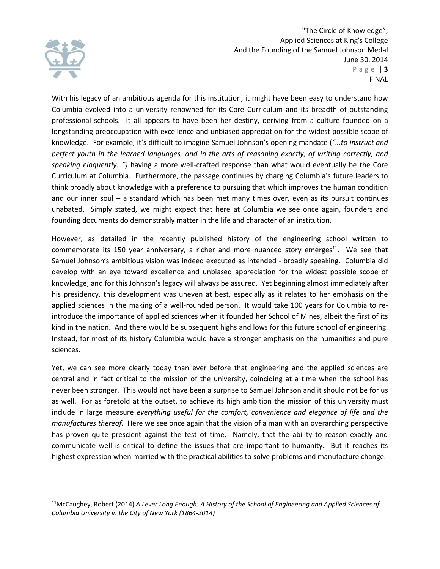

"The Circle of Knowledge", Applied Sciences at King's College And the Founding of the Samuel Johnson Medal June 30, 2014 P a g e | **3** FINAL

With his legacy of an ambitious agenda for this institution, it might have been easy to understand how Columbia evolved into a university renowned for its Core Curriculum and its breadth of outstanding professional schools. It all appears to have been her destiny, deriving from a culture founded on a longstanding preoccupation with excellence and unbiased appreciation for the widest possible scope of knowledge. For example, it's difficult to imagine Samuel Johnson's opening mandate (*"…to instruct and perfect youth in the learned languages, and in the arts of reasoning exactly, of writing correctly, and speaking eloquently…")* having a more well-crafted response than what would eventually be the Core Curriculum at Columbia. Furthermore, the passage continues by charging Columbia's future leaders to think broadly about knowledge with a preference to pursuing that which improves the human condition and our inner soul – a standard which has been met many times over, even as its pursuit continues unabated. Simply stated, we might expect that here at Columbia we see once again, founders and founding documents do demonstrably matter in the life and character of an institution.

However, as detailed in the recently published history of the engineering school written to commemorate its 150 year anniversary, a richer and more nuanced story emerges $11$ . We see that Samuel Johnson's ambitious vision was indeed executed as intended - broadly speaking. Columbia did develop with an eye toward excellence and unbiased appreciation for the widest possible scope of knowledge; and for this Johnson's legacy will always be assured. Yet beginning almost immediately after his presidency, this development was uneven at best, especially as it relates to her emphasis on the applied sciences in the making of a well-rounded person. It would take 100 years for Columbia to reintroduce the importance of applied sciences when it founded her School of Mines, albeit the first of its kind in the nation. And there would be subsequent highs and lows for this future school of engineering. Instead, for most of its history Columbia would have a stronger emphasis on the humanities and pure sciences.

Yet, we can see more clearly today than ever before that engineering and the applied sciences are central and in fact critical to the mission of the university, coinciding at a time when the school has never been stronger. This would not have been a surprise to Samuel Johnson and it should not be for us as well. For as foretold at the outset, to achieve its high ambition the mission of this university must include in large measure *everything useful for the comfort, convenience and elegance of life and the manufactures thereof.* Here we see once again that the vision of a man with an overarching perspective has proven quite prescient against the test of time. Namely, that the ability to reason exactly and communicate well is critical to define the issues that are important to humanity. But it reaches its highest expression when married with the practical abilities to solve problems and manufacture change.

<sup>11</sup>McCaughey, Robert (2014) *A Lever Long Enough: A History of the School of Engineering and Applied Sciences of Columbia University in the City of New York (1864-2014)*